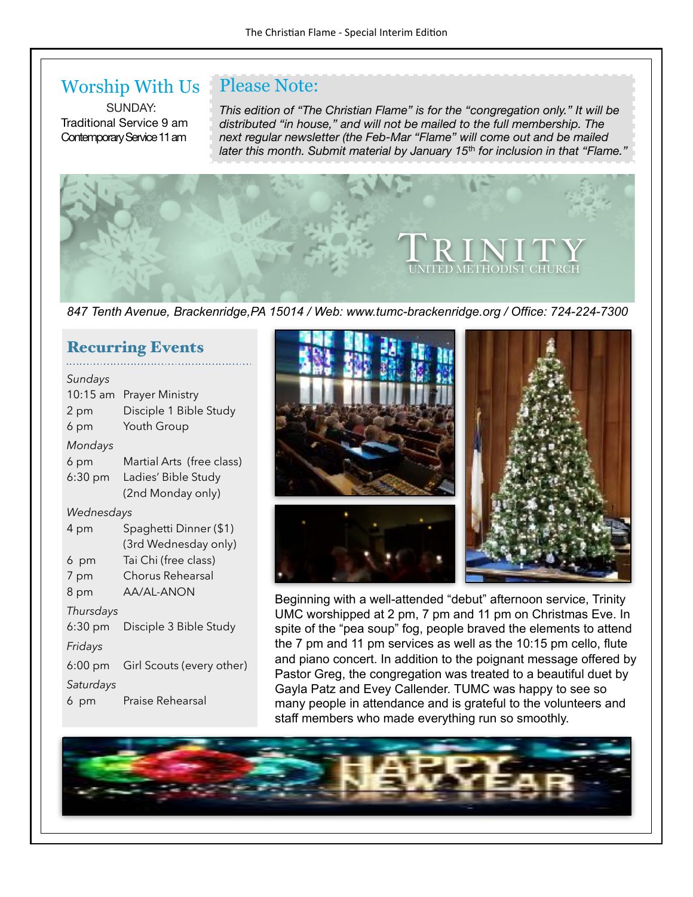Please Note:

### Worship With Us

SUNDAY: Traditional Service 9 am Contemporary Service 11 am

*This edition of "The Christian Flame" is for the "congregation only." It will be distributed "in house," and will not be mailed to the full membership. The next regular newsletter (the Feb-Mar "Flame" will come out and be mailed later this month. Submit material by January 15*th *for inclusion in that "Flame."*



*847 Tenth Avenue, Brackenridge,PA 15014 / Web: www.tumc-brackenridge.org / Office: 724-224-7300* 

#### Recurring Events

| Sundays           |                           |  |
|-------------------|---------------------------|--|
| 10:15 am          | <b>Prayer Ministry</b>    |  |
| 2 pm              | Disciple 1 Bible Study    |  |
| 6 pm              | Youth Group               |  |
| Mondays           |                           |  |
| 6 pm              | Martial Arts (free class) |  |
| $6:30$ pm         | Ladies' Bible Study       |  |
|                   | (2nd Monday only)         |  |
| Wednesdays        |                           |  |
| 4 pm              | Spaghetti Dinner (\$1)    |  |
|                   | (3rd Wednesday only)      |  |
| 6 pm              | Tai Chi (free class)      |  |
| 7 pm              | Chorus Rehearsal          |  |
| 8 pm              | <b>AA/AL-ANON</b>         |  |
| Thursdays         |                           |  |
| $6:30$ pm         | Disciple 3 Bible Study    |  |
| Fridays           |                           |  |
| $6:00 \text{ pm}$ | Girl Scouts (every other) |  |
| Saturdays         |                           |  |
| 6 pm              | Praise Rehearsal          |  |



Beginning with a well-attended "debut" afternoon service, Trinity UMC worshipped at 2 pm, 7 pm and 11 pm on Christmas Eve. In spite of the "pea soup" fog, people braved the elements to attend the 7 pm and 11 pm services as well as the 10:15 pm cello, flute and piano concert. In addition to the poignant message offered by Pastor Greg, the congregation was treated to a beautiful duet by Gayla Patz and Evey Callender. TUMC was happy to see so many people in attendance and is grateful to the volunteers and staff members who made everything run so smoothly.

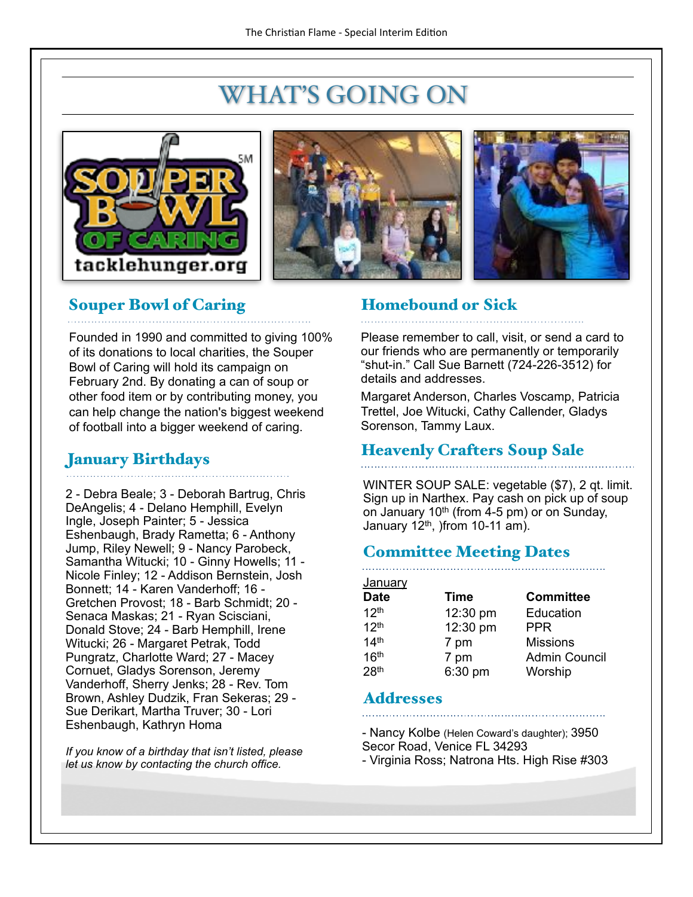## WHAT'S GOING ON







### Souper Bowl of Caring

Founded in 1990 and committed to giving 100% of its donations to local charities, the Souper Bowl of Caring will hold its campaign on February 2nd. By donating a can of soup or other food item or by contributing money, you can help change the nation's biggest weekend of football into a bigger weekend of caring.

### January Birthdays

2 - Debra Beale; 3 - Deborah Bartrug, Chris DeAngelis; 4 - Delano Hemphill, Evelyn Ingle, Joseph Painter; 5 - Jessica Eshenbaugh, Brady Rametta; 6 - Anthony Jump, Riley Newell; 9 - Nancy Parobeck, Samantha Witucki; 10 - Ginny Howells; 11 - Nicole Finley; 12 - Addison Bernstein, Josh Bonnett; 14 - Karen Vanderhoff; 16 - Gretchen Provost; 18 - Barb Schmidt; 20 - Senaca Maskas; 21 - Ryan Scisciani, Donald Stove; 24 - Barb Hemphill, Irene Witucki; 26 - Margaret Petrak, Todd Pungratz, Charlotte Ward; 27 - Macey Cornuet, Gladys Sorenson, Jeremy Vanderhoff, Sherry Jenks; 28 - Rev. Tom Brown, Ashley Dudzik, Fran Sekeras; 29 - Sue Derikart, Martha Truver; 30 - Lori Eshenbaugh, Kathryn Homa

*If you know of a birthday that isn't listed, please let us know by contacting the church office.*

### Homebound or Sick

Please remember to call, visit, or send a card to our friends who are permanently or temporarily "shut-in." Call Sue Barnett (724-226-3512) for details and addresses.

Margaret Anderson, Charles Voscamp, Patricia Trettel, Joe Witucki, Cathy Callender, Gladys Sorenson, Tammy Laux.

### Heavenly Crafters Soup Sale

WINTER SOUP SALE: vegetable (\$7), 2 qt. limit. Sign up in Narthex. Pay cash on pick up of soup on January  $10<sup>th</sup>$  (from 4-5 pm) or on Sunday, January  $12<sup>th</sup>$ , )from 10-11 am).

### Committee Meeting Dates

| <b>January</b>   |             |                      |
|------------------|-------------|----------------------|
| <b>Date</b>      | <b>Time</b> | <b>Committee</b>     |
| 12 <sup>th</sup> | 12:30 pm    | Education            |
| 12 <sup>th</sup> | 12:30 pm    | <b>PPR</b>           |
| 14 <sup>th</sup> | 7 pm        | <b>Missions</b>      |
| 16 <sup>th</sup> | 7 pm        | <b>Admin Council</b> |
| 28 <sup>th</sup> | 6:30 pm     | Worship              |

#### Addresses

- Nancy Kolbe (Helen Coward's daughter); 3950 Secor Road, Venice FL 34293

- Virginia Ross; Natrona Hts. High Rise #303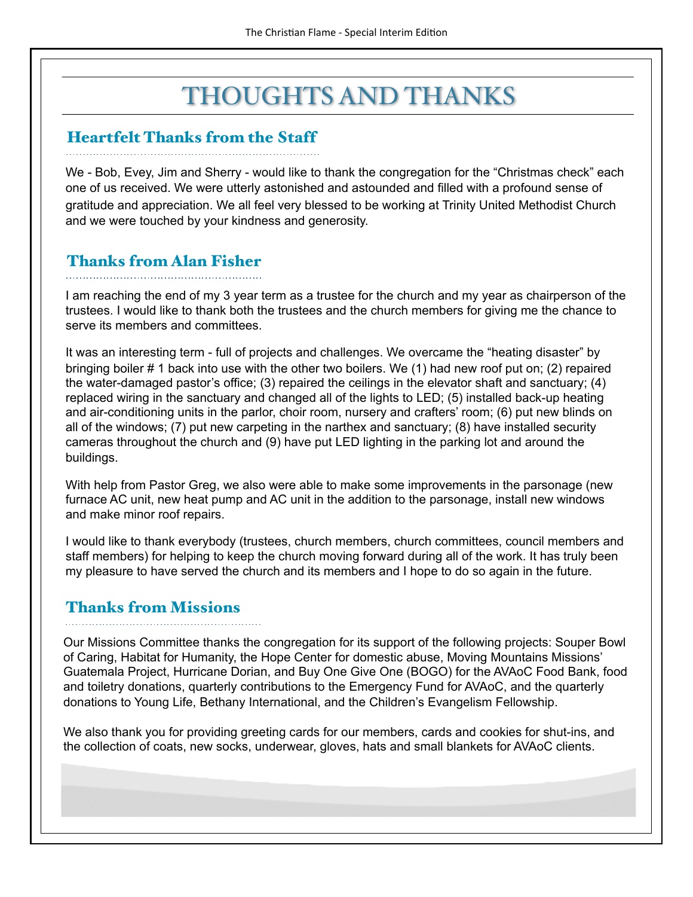## THOUGHTS AND THANKS

### Heartfelt Thanks from the Staff

We - Bob, Evey, Jim and Sherry - would like to thank the congregation for the "Christmas check" each one of us received. We were utterly astonished and astounded and filled with a profound sense of gratitude and appreciation. We all feel very blessed to be working at Trinity United Methodist Church and we were touched by your kindness and generosity.

### Thanks from Alan Fisher

I am reaching the end of my 3 year term as a trustee for the church and my year as chairperson of the trustees. I would like to thank both the trustees and the church members for giving me the chance to serve its members and committees.

It was an interesting term - full of projects and challenges. We overcame the "heating disaster" by bringing boiler # 1 back into use with the other two boilers. We (1) had new roof put on; (2) repaired the water-damaged pastor's office; (3) repaired the ceilings in the elevator shaft and sanctuary; (4) replaced wiring in the sanctuary and changed all of the lights to LED; (5) installed back-up heating and air-conditioning units in the parlor, choir room, nursery and crafters' room; (6) put new blinds on all of the windows; (7) put new carpeting in the narthex and sanctuary; (8) have installed security cameras throughout the church and (9) have put LED lighting in the parking lot and around the buildings.

With help from Pastor Greg, we also were able to make some improvements in the parsonage (new furnace AC unit, new heat pump and AC unit in the addition to the parsonage, install new windows and make minor roof repairs.

I would like to thank everybody (trustees, church members, church committees, council members and staff members) for helping to keep the church moving forward during all of the work. It has truly been my pleasure to have served the church and its members and I hope to do so again in the future.

### Thanks from Missions

Our Missions Committee thanks the congregation for its support of the following projects: Souper Bowl of Caring, Habitat for Humanity, the Hope Center for domestic abuse, Moving Mountains Missions' Guatemala Project, Hurricane Dorian, and Buy One Give One (BOGO) for the AVAoC Food Bank, food and toiletry donations, quarterly contributions to the Emergency Fund for AVAoC, and the quarterly donations to Young Life, Bethany International, and the Children's Evangelism Fellowship.

We also thank you for providing greeting cards for our members, cards and cookies for shut-ins, and the collection of coats, new socks, underwear, gloves, hats and small blankets for AVAoC clients.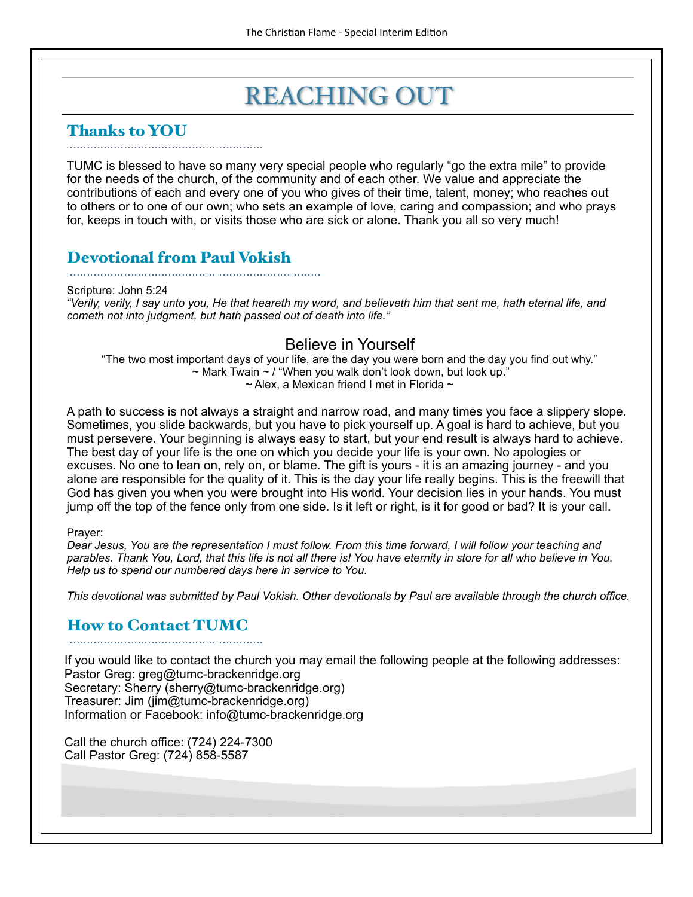### REACHING OUT

### Thanks to YOU

TUMC is blessed to have so many very special people who regularly "go the extra mile" to provide for the needs of the church, of the community and of each other. We value and appreciate the contributions of each and every one of you who gives of their time, talent, money; who reaches out to others or to one of our own; who sets an example of love, caring and compassion; and who prays for, keeps in touch with, or visits those who are sick or alone. Thank you all so very much!

### Devotional from Paul Vokish

Scripture: John 5:24 *"Verily, verily, I say unto you, He that heareth my word, and believeth him that sent me, hath eternal life, and cometh not into judgment, but hath passed out of death into life."*

#### Believe in Yourself

"The two most important days of your life, are the day you were born and the day you find out why."  $\sim$  Mark Twain  $\sim$  / "When you walk don't look down, but look up."  $\sim$  Alex, a Mexican friend I met in Florida  $\sim$ 

A path to success is not always a straight and narrow road, and many times you face a slippery slope. Sometimes, you slide backwards, but you have to pick yourself up. A goal is hard to achieve, but you must persevere. Your beginning is always easy to start, but your end result is always hard to achieve. The best day of your life is the one on which you decide your life is your own. No apologies or excuses. No one to lean on, rely on, or blame. The gift is yours - it is an amazing journey - and you alone are responsible for the quality of it. This is the day your life really begins. This is the freewill that God has given you when you were brought into His world. Your decision lies in your hands. You must jump off the top of the fence only from one side. Is it left or right, is it for good or bad? It is your call.

#### Prayer:

*Dear Jesus, You are the representation I must follow. From this time forward, I will follow your teaching and parables. Thank You, Lord, that this life is not all there is! You have eternity in store for all who believe in You. Help us to spend our numbered days here in service to You.*

*This devotional was submitted by Paul Vokish. Other devotionals by Paul are available through the church office.*

### How to Contact TUMC

If you would like to contact the church you may email the following people at the following addresses: Pastor Greg: greg@tumc-brackenridge.org Secretary: Sherry (sherry@tumc-brackenridge.org) Treasurer: Jim (jim@tumc-brackenridge.org) Information or Facebook: info@tumc-brackenridge.org

Call the church office: (724) 224-7300 Call Pastor Greg: (724) 858-5587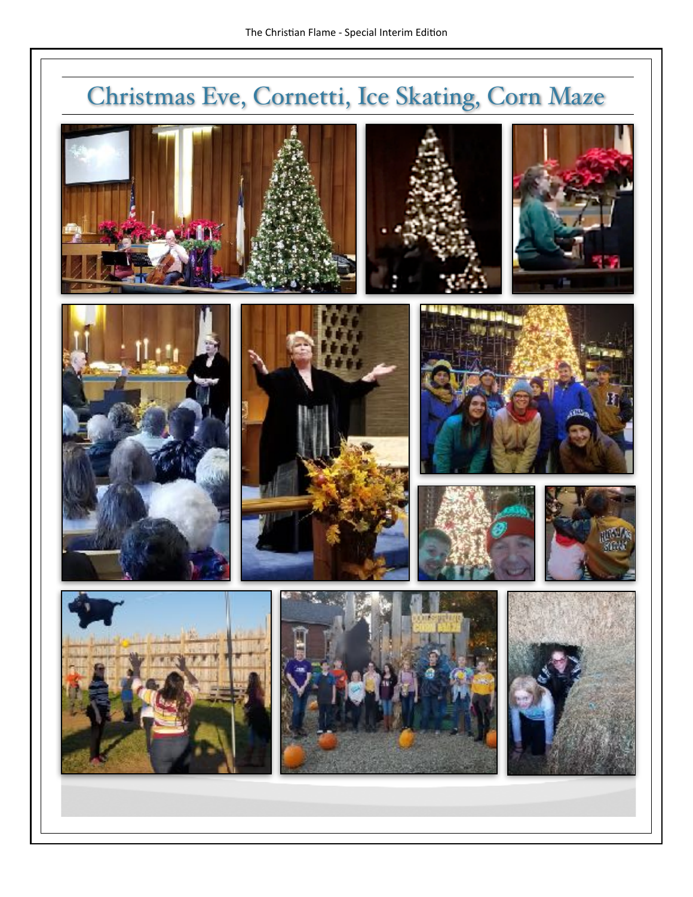# Christmas Eve, Cornetti, Ice Skating, Corn Maze